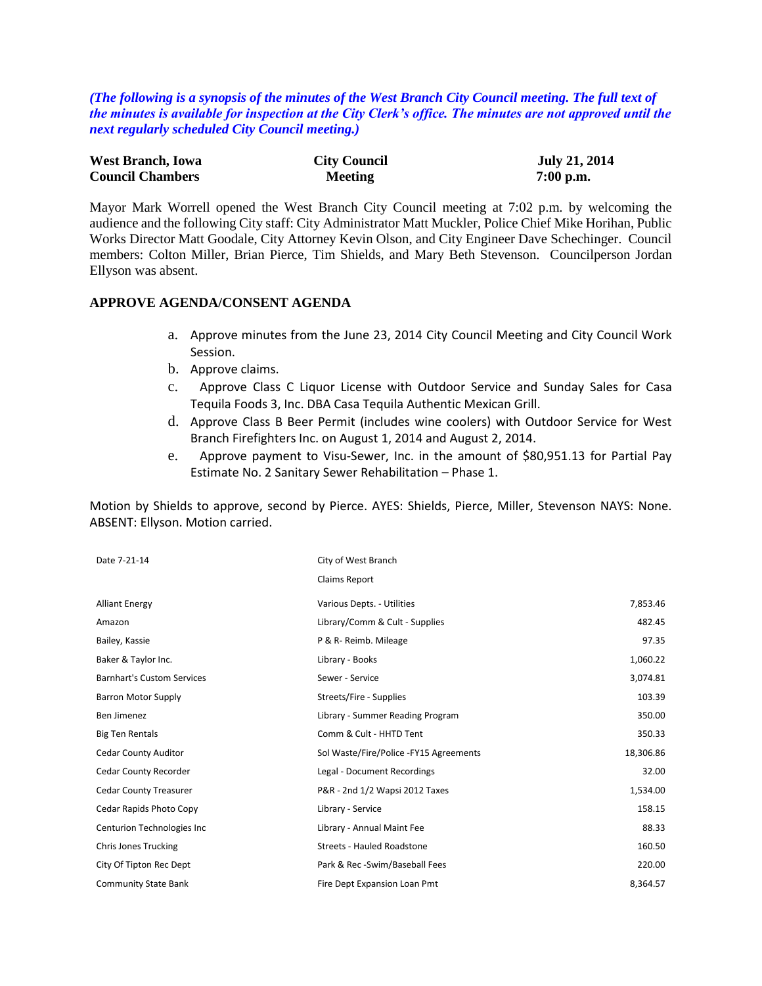*(The following is a synopsis of the minutes of the West Branch City Council meeting. The full text of the minutes is available for inspection at the City Clerk's office. The minutes are not approved until the next regularly scheduled City Council meeting.)*

| <b>West Branch, Iowa</b> | <b>City Council</b> | <b>July 21, 2014</b> |
|--------------------------|---------------------|----------------------|
| <b>Council Chambers</b>  | <b>Meeting</b>      | $7:00$ p.m.          |

Mayor Mark Worrell opened the West Branch City Council meeting at 7:02 p.m. by welcoming the audience and the following City staff: City Administrator Matt Muckler, Police Chief Mike Horihan, Public Works Director Matt Goodale, City Attorney Kevin Olson, and City Engineer Dave Schechinger. Council members: Colton Miller, Brian Pierce, Tim Shields, and Mary Beth Stevenson. Councilperson Jordan Ellyson was absent.

#### **APPROVE AGENDA/CONSENT AGENDA**

- a. Approve minutes from the June 23, 2014 City Council Meeting and City Council Work Session.
- b. Approve claims.
- c. Approve Class C Liquor License with Outdoor Service and Sunday Sales for Casa Tequila Foods 3, Inc. DBA Casa Tequila Authentic Mexican Grill.
- d. Approve Class B Beer Permit (includes wine coolers) with Outdoor Service for West Branch Firefighters Inc. on August 1, 2014 and August 2, 2014.
- e. Approve payment to Visu-Sewer, Inc. in the amount of \$80,951.13 for Partial Pay Estimate No. 2 Sanitary Sewer Rehabilitation – Phase 1.

Motion by Shields to approve, second by Pierce. AYES: Shields, Pierce, Miller, Stevenson NAYS: None. ABSENT: Ellyson. Motion carried.

| Date 7-21-14                      | City of West Branch                    |           |
|-----------------------------------|----------------------------------------|-----------|
|                                   | Claims Report                          |           |
| <b>Alliant Energy</b>             | Various Depts. - Utilities             | 7,853.46  |
| Amazon                            | Library/Comm & Cult - Supplies         | 482.45    |
| Bailey, Kassie                    | P & R- Reimb. Mileage                  | 97.35     |
| Baker & Taylor Inc.               | Library - Books                        | 1,060.22  |
| <b>Barnhart's Custom Services</b> | Sewer - Service                        | 3,074.81  |
| <b>Barron Motor Supply</b>        | Streets/Fire - Supplies                | 103.39    |
| Ben Jimenez                       | Library - Summer Reading Program       | 350.00    |
| <b>Big Ten Rentals</b>            | Comm & Cult - HHTD Tent                | 350.33    |
| <b>Cedar County Auditor</b>       | Sol Waste/Fire/Police -FY15 Agreements | 18,306.86 |
| <b>Cedar County Recorder</b>      | Legal - Document Recordings            | 32.00     |
| <b>Cedar County Treasurer</b>     | P&R - 2nd 1/2 Wapsi 2012 Taxes         | 1,534.00  |
| Cedar Rapids Photo Copy           | Library - Service                      | 158.15    |
| Centurion Technologies Inc        | Library - Annual Maint Fee             | 88.33     |
| <b>Chris Jones Trucking</b>       | <b>Streets - Hauled Roadstone</b>      | 160.50    |
| City Of Tipton Rec Dept           | Park & Rec -Swim/Baseball Fees         | 220.00    |
| <b>Community State Bank</b>       | Fire Dept Expansion Loan Pmt           | 8,364.57  |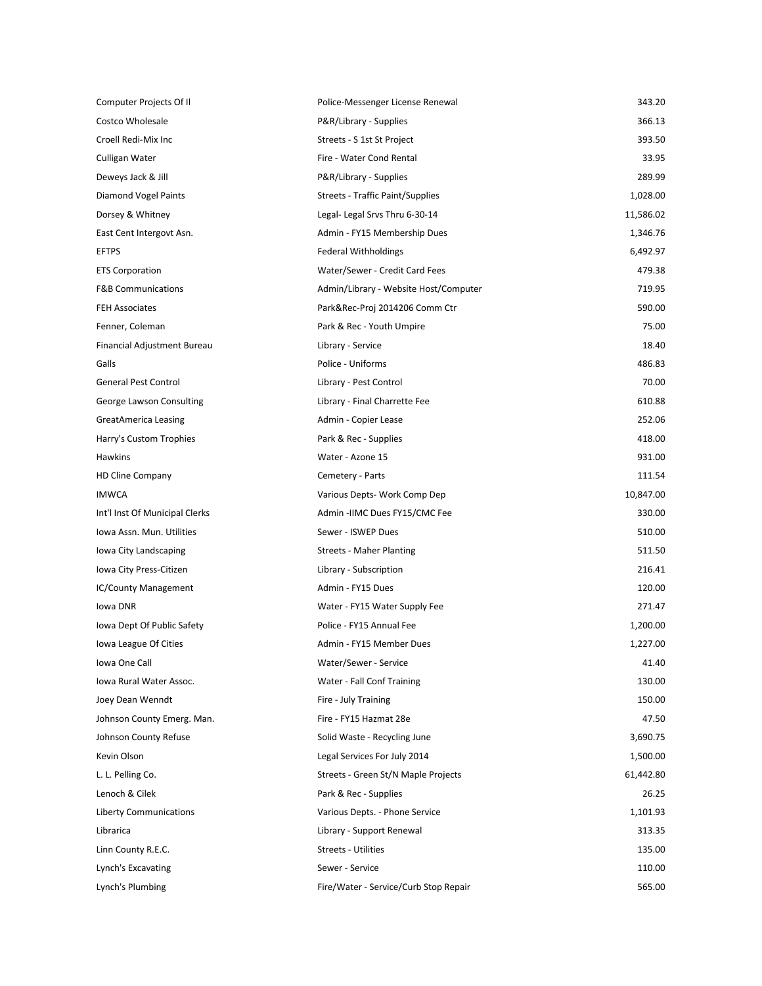| Computer Projects Of II        | Police-Messenger License Renewal      | 343.20    |
|--------------------------------|---------------------------------------|-----------|
| Costco Wholesale               | P&R/Library - Supplies                | 366.13    |
| Croell Redi-Mix Inc            | Streets - S 1st St Project            | 393.50    |
| Culligan Water                 | Fire - Water Cond Rental              | 33.95     |
| Deweys Jack & Jill             | P&R/Library - Supplies                | 289.99    |
| Diamond Vogel Paints           | Streets - Traffic Paint/Supplies      | 1,028.00  |
| Dorsey & Whitney               | Legal- Legal Srvs Thru 6-30-14        | 11,586.02 |
| East Cent Intergovt Asn.       | Admin - FY15 Membership Dues          | 1,346.76  |
| <b>EFTPS</b>                   | <b>Federal Withholdings</b>           | 6,492.97  |
| <b>ETS Corporation</b>         | Water/Sewer - Credit Card Fees        | 479.38    |
| <b>F&amp;B Communications</b>  | Admin/Library - Website Host/Computer | 719.95    |
| <b>FEH Associates</b>          | Park&Rec-Proj 2014206 Comm Ctr        | 590.00    |
| Fenner, Coleman                | Park & Rec - Youth Umpire             | 75.00     |
| Financial Adjustment Bureau    | Library - Service                     | 18.40     |
| Galls                          | Police - Uniforms                     | 486.83    |
| <b>General Pest Control</b>    | Library - Pest Control                | 70.00     |
| George Lawson Consulting       | Library - Final Charrette Fee         | 610.88    |
| GreatAmerica Leasing           | Admin - Copier Lease                  | 252.06    |
| Harry's Custom Trophies        | Park & Rec - Supplies                 | 418.00    |
| Hawkins                        | Water - Azone 15                      | 931.00    |
| <b>HD Cline Company</b>        | Cemetery - Parts                      | 111.54    |
| <b>IMWCA</b>                   | Various Depts- Work Comp Dep          | 10,847.00 |
| Int'l Inst Of Municipal Clerks | Admin -IIMC Dues FY15/CMC Fee         | 330.00    |
| Iowa Assn. Mun. Utilities      | Sewer - ISWEP Dues                    | 510.00    |
| lowa City Landscaping          | <b>Streets - Maher Planting</b>       | 511.50    |
| Iowa City Press-Citizen        | Library - Subscription                | 216.41    |
| <b>IC/County Management</b>    | Admin - FY15 Dues                     | 120.00    |
| lowa DNR                       | Water - FY15 Water Supply Fee         | 271.47    |
| Iowa Dept Of Public Safety     | Police - FY15 Annual Fee              | 1,200.00  |
| Iowa League Of Cities          | Admin - FY15 Member Dues              | 1,227.00  |
| Iowa One Call                  | Water/Sewer - Service                 | 41.40     |
| Iowa Rural Water Assoc.        | Water - Fall Conf Training            | 130.00    |
| Joey Dean Wenndt               | Fire - July Training                  | 150.00    |
| Johnson County Emerg. Man.     | Fire - FY15 Hazmat 28e                | 47.50     |
| Johnson County Refuse          | Solid Waste - Recycling June          | 3,690.75  |
| Kevin Olson                    | Legal Services For July 2014          | 1,500.00  |
| L. L. Pelling Co.              | Streets - Green St/N Maple Projects   | 61,442.80 |
| Lenoch & Cilek                 | Park & Rec - Supplies                 | 26.25     |
| <b>Liberty Communications</b>  | Various Depts. - Phone Service        | 1,101.93  |
| Librarica                      | Library - Support Renewal             | 313.35    |
| Linn County R.E.C.             | Streets - Utilities                   | 135.00    |
| Lynch's Excavating             | Sewer - Service                       | 110.00    |
| Lynch's Plumbing               | Fire/Water - Service/Curb Stop Repair | 565.00    |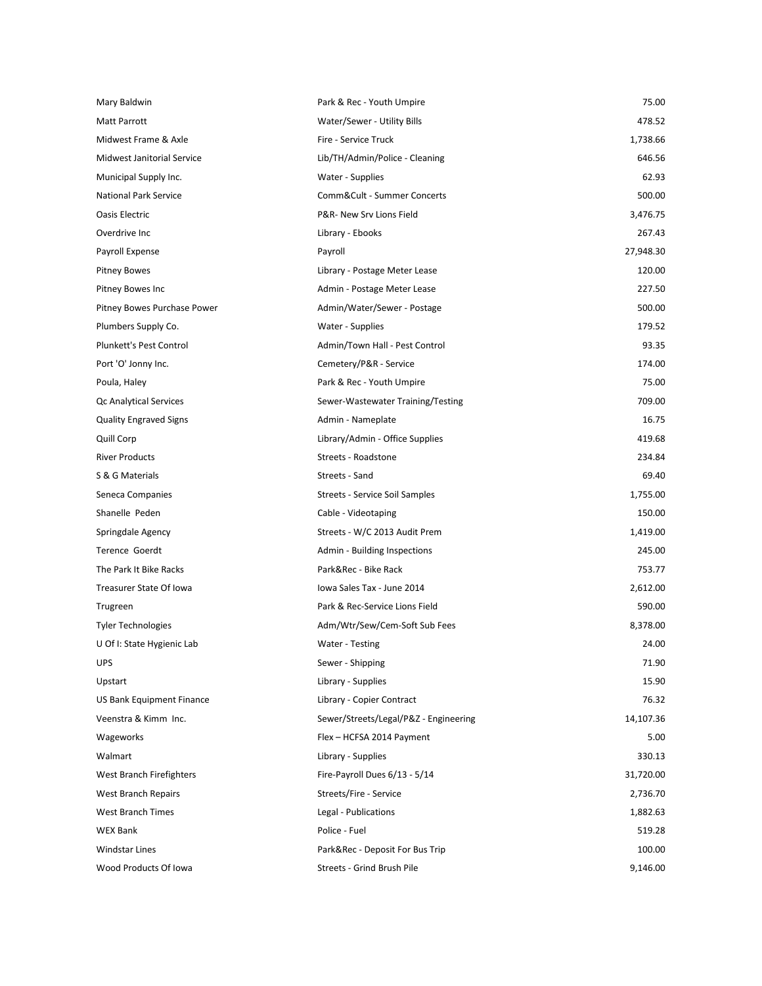| Mary Baldwin                      | Park & Rec - Youth Umpire             | 75.00     |
|-----------------------------------|---------------------------------------|-----------|
| Matt Parrott                      | Water/Sewer - Utility Bills           | 478.52    |
| Midwest Frame & Axle              | Fire - Service Truck                  | 1,738.66  |
| <b>Midwest Janitorial Service</b> | Lib/TH/Admin/Police - Cleaning        | 646.56    |
| Municipal Supply Inc.             | Water - Supplies                      | 62.93     |
| <b>National Park Service</b>      | Comm&Cult - Summer Concerts           | 500.00    |
| Oasis Electric                    | P&R- New Srv Lions Field              | 3,476.75  |
| Overdrive Inc                     | Library - Ebooks                      | 267.43    |
| Payroll Expense                   | Payroll                               | 27,948.30 |
| <b>Pitney Bowes</b>               | Library - Postage Meter Lease         | 120.00    |
| Pitney Bowes Inc                  | Admin - Postage Meter Lease           | 227.50    |
| Pitney Bowes Purchase Power       | Admin/Water/Sewer - Postage           | 500.00    |
| Plumbers Supply Co.               | Water - Supplies                      | 179.52    |
| Plunkett's Pest Control           | Admin/Town Hall - Pest Control        | 93.35     |
| Port 'O' Jonny Inc.               | Cemetery/P&R - Service                | 174.00    |
| Poula, Haley                      | Park & Rec - Youth Umpire             | 75.00     |
| Qc Analytical Services            | Sewer-Wastewater Training/Testing     | 709.00    |
| <b>Quality Engraved Signs</b>     | Admin - Nameplate                     | 16.75     |
| Quill Corp                        | Library/Admin - Office Supplies       | 419.68    |
| <b>River Products</b>             | Streets - Roadstone                   | 234.84    |
| S & G Materials                   | Streets - Sand                        | 69.40     |
| Seneca Companies                  | Streets - Service Soil Samples        | 1,755.00  |
| Shanelle Peden                    | Cable - Videotaping                   | 150.00    |
| Springdale Agency                 | Streets - W/C 2013 Audit Prem         | 1,419.00  |
| Terence Goerdt                    | Admin - Building Inspections          | 245.00    |
| The Park It Bike Racks            | Park&Rec - Bike Rack                  | 753.77    |
| Treasurer State Of Iowa           | Iowa Sales Tax - June 2014            | 2,612.00  |
| Trugreen                          | Park & Rec-Service Lions Field        | 590.00    |
| <b>Tyler Technologies</b>         | Adm/Wtr/Sew/Cem-Soft Sub Fees         | 8,378.00  |
| U Of I: State Hygienic Lab        | Water - Testing                       | 24.00     |
| <b>UPS</b>                        | Sewer - Shipping                      | 71.90     |
| Upstart                           | Library - Supplies                    | 15.90     |
| US Bank Equipment Finance         | Library - Copier Contract             | 76.32     |
| Veenstra & Kimm Inc.              | Sewer/Streets/Legal/P&Z - Engineering | 14,107.36 |
| Wageworks                         | Flex - HCFSA 2014 Payment             | 5.00      |
| Walmart                           | Library - Supplies                    | 330.13    |
| West Branch Firefighters          | Fire-Payroll Dues 6/13 - 5/14         | 31,720.00 |
| <b>West Branch Repairs</b>        | Streets/Fire - Service                | 2,736.70  |
| <b>West Branch Times</b>          | Legal - Publications                  | 1,882.63  |
| <b>WEX Bank</b>                   | Police - Fuel                         | 519.28    |
| Windstar Lines                    | Park&Rec - Deposit For Bus Trip       | 100.00    |
| Wood Products Of Iowa             | Streets - Grind Brush Pile            | 9,146.00  |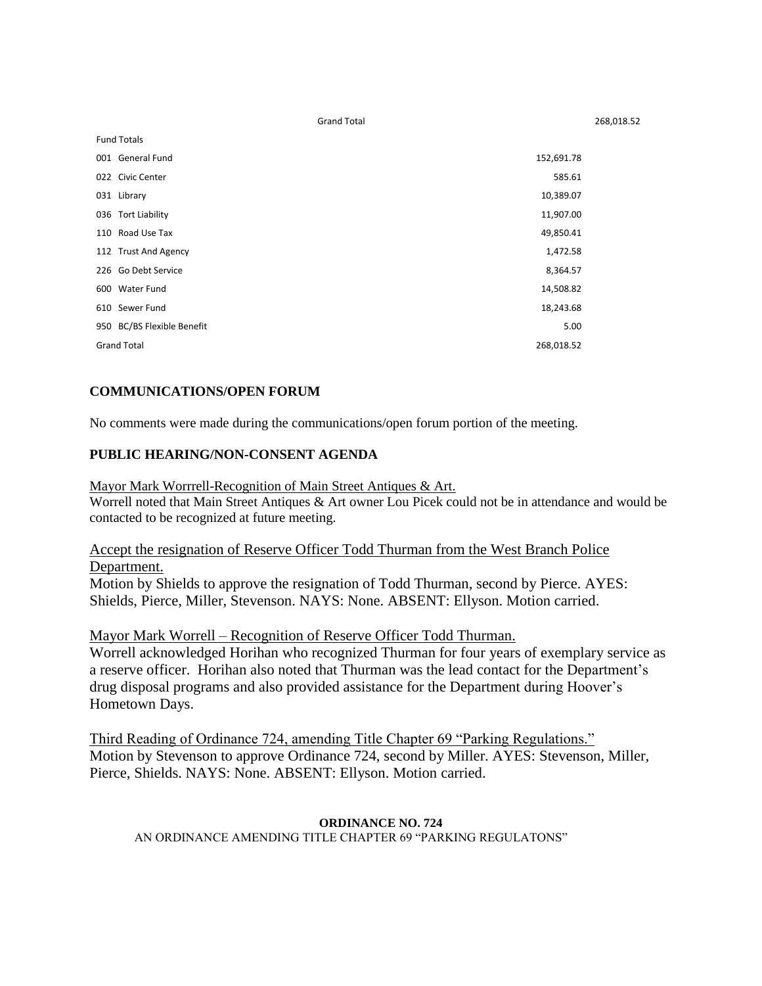| <b>Fund Totals</b>         |            |
|----------------------------|------------|
| 001 General Fund           | 152,691.78 |
| 022 Civic Center           | 585.61     |
| 031 Library                | 10,389.07  |
| 036 Tort Liability         | 11,907.00  |
| 110 Road Use Tax           | 49,850.41  |
| 112 Trust And Agency       | 1,472.58   |
| 226 Go Debt Service        | 8,364.57   |
| 600 Water Fund             | 14,508.82  |
| 610 Sewer Fund             | 18,243.68  |
| 950 BC/BS Flexible Benefit | 5.00       |
| <b>Grand Total</b>         | 268,018.52 |

Grand Total 268,018.52

## **COMMUNICATIONS/OPEN FORUM**

No comments were made during the communications/open forum portion of the meeting.

#### **PUBLIC HEARING/NON-CONSENT AGENDA**

Mayor Mark Worrrell-Recognition of Main Street Antiques & Art.

Worrell noted that Main Street Antiques & Art owner Lou Picek could not be in attendance and would be contacted to be recognized at future meeting.

### Accept the resignation of Reserve Officer Todd Thurman from the West Branch Police Department.

Motion by Shields to approve the resignation of Todd Thurman, second by Pierce. AYES: Shields, Pierce, Miller, Stevenson. NAYS: None. ABSENT: Ellyson. Motion carried.

Mayor Mark Worrell – Recognition of Reserve Officer Todd Thurman.

Worrell acknowledged Horihan who recognized Thurman for four years of exemplary service as a reserve officer. Horihan also noted that Thurman was the lead contact for the Department's drug disposal programs and also provided assistance for the Department during Hoover's Hometown Days.

Third Reading of Ordinance 724, amending Title Chapter 69 "Parking Regulations." Motion by Stevenson to approve Ordinance 724, second by Miller. AYES: Stevenson, Miller, Pierce, Shields. NAYS: None. ABSENT: Ellyson. Motion carried.

#### **ORDINANCE NO. 724** AN ORDINANCE AMENDING TITLE CHAPTER 69 "PARKING REGULATONS"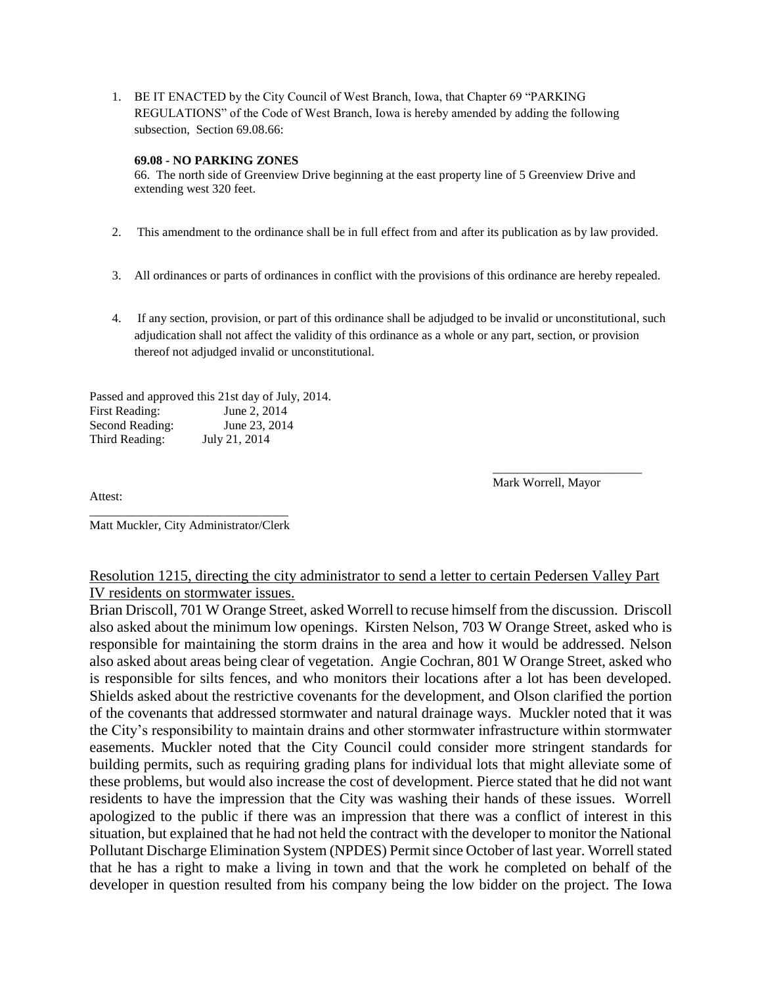1. BE IT ENACTED by the City Council of West Branch, Iowa, that Chapter 69 "PARKING REGULATIONS" of the Code of West Branch, Iowa is hereby amended by adding the following subsection, Section 69.08.66:

#### **69.08 - NO PARKING ZONES**

66. The north side of Greenview Drive beginning at the east property line of 5 Greenview Drive and extending west 320 feet.

- 2. This amendment to the ordinance shall be in full effect from and after its publication as by law provided.
- 3. All ordinances or parts of ordinances in conflict with the provisions of this ordinance are hereby repealed.
- 4. If any section, provision, or part of this ordinance shall be adjudged to be invalid or unconstitutional, such adjudication shall not affect the validity of this ordinance as a whole or any part, section, or provision thereof not adjudged invalid or unconstitutional.

Passed and approved this 21st day of July, 2014. First Reading: June 2, 2014 Second Reading: June 23, 2014 Third Reading: July 21, 2014

Mark Worrell, Mayor

\_\_\_\_\_\_\_\_\_\_\_\_\_\_\_\_\_\_\_\_\_\_\_\_

Attest:

\_\_\_\_\_\_\_\_\_\_\_\_\_\_\_\_\_\_\_\_\_\_\_\_\_\_\_\_\_\_\_\_ Matt Muckler, City Administrator/Clerk

## Resolution 1215, directing the city administrator to send a letter to certain Pedersen Valley Part IV residents on stormwater issues.

Brian Driscoll, 701 W Orange Street, asked Worrell to recuse himself from the discussion. Driscoll also asked about the minimum low openings. Kirsten Nelson, 703 W Orange Street, asked who is responsible for maintaining the storm drains in the area and how it would be addressed. Nelson also asked about areas being clear of vegetation. Angie Cochran, 801 W Orange Street, asked who is responsible for silts fences, and who monitors their locations after a lot has been developed. Shields asked about the restrictive covenants for the development, and Olson clarified the portion of the covenants that addressed stormwater and natural drainage ways. Muckler noted that it was the City's responsibility to maintain drains and other stormwater infrastructure within stormwater easements. Muckler noted that the City Council could consider more stringent standards for building permits, such as requiring grading plans for individual lots that might alleviate some of these problems, but would also increase the cost of development. Pierce stated that he did not want residents to have the impression that the City was washing their hands of these issues. Worrell apologized to the public if there was an impression that there was a conflict of interest in this situation, but explained that he had not held the contract with the developer to monitor the National Pollutant Discharge Elimination System (NPDES) Permit since October of last year. Worrell stated that he has a right to make a living in town and that the work he completed on behalf of the developer in question resulted from his company being the low bidder on the project. The Iowa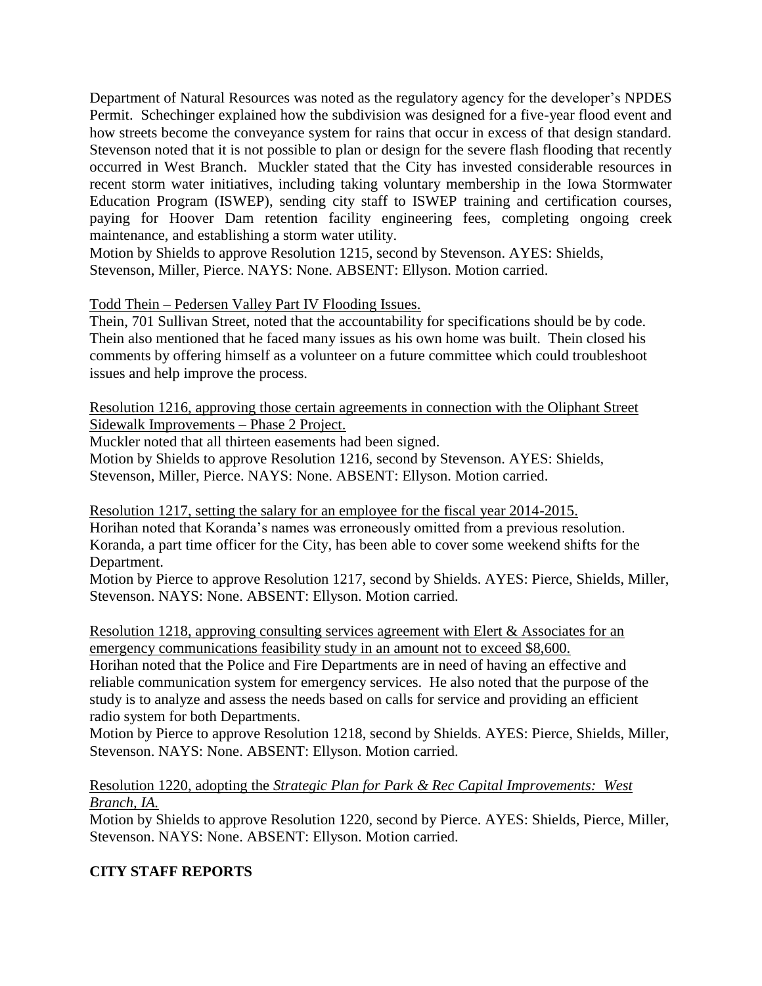Department of Natural Resources was noted as the regulatory agency for the developer's NPDES Permit. Schechinger explained how the subdivision was designed for a five-year flood event and how streets become the conveyance system for rains that occur in excess of that design standard. Stevenson noted that it is not possible to plan or design for the severe flash flooding that recently occurred in West Branch. Muckler stated that the City has invested considerable resources in recent storm water initiatives, including taking voluntary membership in the Iowa Stormwater Education Program (ISWEP), sending city staff to ISWEP training and certification courses, paying for Hoover Dam retention facility engineering fees, completing ongoing creek maintenance, and establishing a storm water utility.

Motion by Shields to approve Resolution 1215, second by Stevenson. AYES: Shields, Stevenson, Miller, Pierce. NAYS: None. ABSENT: Ellyson. Motion carried.

Todd Thein – Pedersen Valley Part IV Flooding Issues.

Thein, 701 Sullivan Street, noted that the accountability for specifications should be by code. Thein also mentioned that he faced many issues as his own home was built. Thein closed his comments by offering himself as a volunteer on a future committee which could troubleshoot issues and help improve the process.

Resolution 1216, approving those certain agreements in connection with the Oliphant Street Sidewalk Improvements – Phase 2 Project.

Muckler noted that all thirteen easements had been signed.

Motion by Shields to approve Resolution 1216, second by Stevenson. AYES: Shields, Stevenson, Miller, Pierce. NAYS: None. ABSENT: Ellyson. Motion carried.

Resolution 1217, setting the salary for an employee for the fiscal year 2014-2015. Horihan noted that Koranda's names was erroneously omitted from a previous resolution. Koranda, a part time officer for the City, has been able to cover some weekend shifts for the Department.

Motion by Pierce to approve Resolution 1217, second by Shields. AYES: Pierce, Shields, Miller, Stevenson. NAYS: None. ABSENT: Ellyson. Motion carried.

Resolution 1218, approving consulting services agreement with Elert & Associates for an emergency communications feasibility study in an amount not to exceed \$8,600.

Horihan noted that the Police and Fire Departments are in need of having an effective and reliable communication system for emergency services. He also noted that the purpose of the study is to analyze and assess the needs based on calls for service and providing an efficient radio system for both Departments.

Motion by Pierce to approve Resolution 1218, second by Shields. AYES: Pierce, Shields, Miller, Stevenson. NAYS: None. ABSENT: Ellyson. Motion carried.

Resolution 1220, adopting the *Strategic Plan for Park & Rec Capital Improvements: West Branch, IA.*

Motion by Shields to approve Resolution 1220, second by Pierce. AYES: Shields, Pierce, Miller, Stevenson. NAYS: None. ABSENT: Ellyson. Motion carried.

# **CITY STAFF REPORTS**